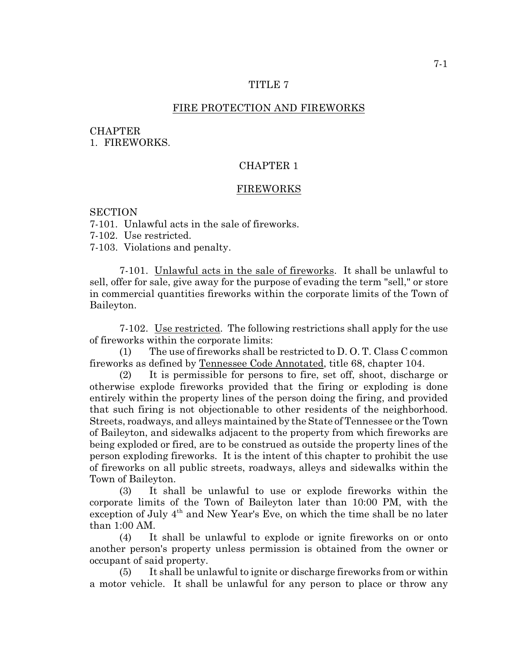### TITLE 7

## FIRE PROTECTION AND FIREWORKS

### **CHAPTER**

1. FIREWORKS.

# CHAPTER 1

### FIREWORKS

## **SECTION**

7-101. Unlawful acts in the sale of fireworks.

7-102. Use restricted.

7-103. Violations and penalty.

7-101. Unlawful acts in the sale of fireworks. It shall be unlawful to sell, offer for sale, give away for the purpose of evading the term "sell," or store in commercial quantities fireworks within the corporate limits of the Town of Baileyton.

7-102. Use restricted. The following restrictions shall apply for the use of fireworks within the corporate limits:

(1) The use of fireworks shall be restricted to D. O. T. Class C common fireworks as defined by Tennessee Code Annotated, title 68, chapter 104.

(2) It is permissible for persons to fire, set off, shoot, discharge or otherwise explode fireworks provided that the firing or exploding is done entirely within the property lines of the person doing the firing, and provided that such firing is not objectionable to other residents of the neighborhood. Streets, roadways, and alleys maintained by the State of Tennessee or the Town of Baileyton, and sidewalks adjacent to the property from which fireworks are being exploded or fired, are to be construed as outside the property lines of the person exploding fireworks. It is the intent of this chapter to prohibit the use of fireworks on all public streets, roadways, alleys and sidewalks within the Town of Baileyton.

(3) It shall be unlawful to use or explode fireworks within the corporate limits of the Town of Baileyton later than 10:00 PM, with the exception of July  $4<sup>th</sup>$  and New Year's Eve, on which the time shall be no later than 1:00 AM.

(4) It shall be unlawful to explode or ignite fireworks on or onto another person's property unless permission is obtained from the owner or occupant of said property.

(5) It shall be unlawful to ignite or discharge fireworks from or within a motor vehicle. It shall be unlawful for any person to place or throw any